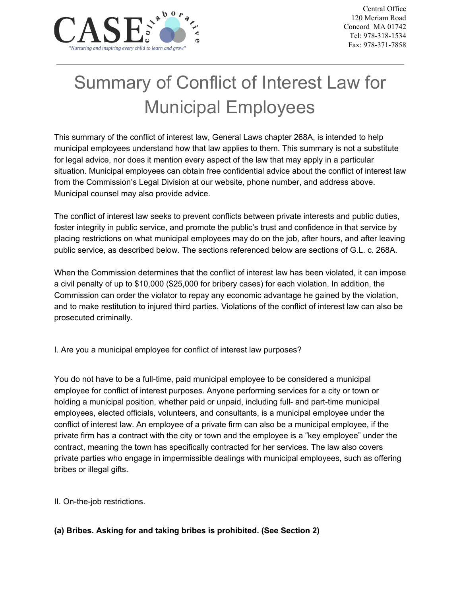

# Summary of Conflict of Interest Law for Municipal Employees

This summary of the conflict of interest law, General Laws chapter 268A, is intended to help municipal employees understand how that law applies to them. This summary is not a substitute for legal advice, nor does it mention every aspect of the law that may apply in a particular situation. Municipal employees can obtain free confidential advice about the conflict of interest law from the Commission's Legal Division at our website, phone number, and address above. Municipal counsel may also provide advice.

The conflict of interest law seeks to prevent conflicts between private interests and public duties, foster integrity in public service, and promote the public's trust and confidence in that service by placing restrictions on what municipal employees may do on the job, after hours, and after leaving public service, as described below. The sections referenced below are sections of G.L. c. 268A.

When the Commission determines that the conflict of interest law has been violated, it can impose a civil penalty of up to \$10,000 (\$25,000 for bribery cases) for each violation. In addition, the Commission can order the violator to repay any economic advantage he gained by the violation, and to make restitution to injured third parties. Violations of the conflict of interest law can also be prosecuted criminally.

I. Are you a municipal employee for conflict of interest law purposes?

You do not have to be a full-time, paid municipal employee to be considered a municipal employee for conflict of interest purposes. Anyone performing services for a city or town or holding a municipal position, whether paid or unpaid, including full- and part-time municipal employees, elected officials, volunteers, and consultants, is a municipal employee under the conflict of interest law. An employee of a private firm can also be a municipal employee, if the private firm has a contract with the city or town and the employee is a "key employee" under the contract, meaning the town has specifically contracted for her services. The law also covers private parties who engage in impermissible dealings with municipal employees, such as offering bribes or illegal gifts.

II. On-the-job restrictions.

**(a) Bribes. Asking for and taking bribes is prohibited. (See Section 2)**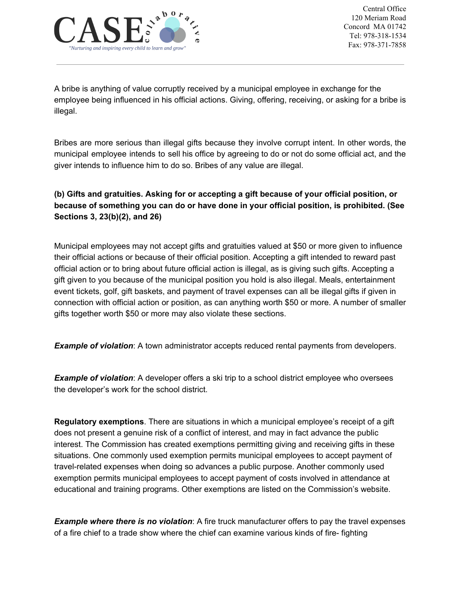

A bribe is anything of value corruptly received by a municipal employee in exchange for the employee being influenced in his official actions. Giving, offering, receiving, or asking for a bribe is illegal.

Bribes are more serious than illegal gifts because they involve corrupt intent. In other words, the municipal employee intends to sell his office by agreeing to do or not do some official act, and the giver intends to influence him to do so. Bribes of any value are illegal.

## **(b) Gifts and gratuities. Asking for or accepting a gift because of your official position, or because of something you can do or have done in your official position, is prohibited. (See Sections 3, 23(b)(2), and 26)**

Municipal employees may not accept gifts and gratuities valued at \$50 or more given to influence their official actions or because of their official position. Accepting a gift intended to reward past official action or to bring about future official action is illegal, as is giving such gifts. Accepting a gift given to you because of the municipal position you hold is also illegal. Meals, entertainment event tickets, golf, gift baskets, and payment of travel expenses can all be illegal gifts if given in connection with official action or position, as can anything worth \$50 or more. A number of smaller gifts together worth \$50 or more may also violate these sections.

*Example of violation*: A town administrator accepts reduced rental payments from developers.

*Example of violation*: A developer offers a ski trip to a school district employee who oversees the developer's work for the school district.

**Regulatory exemptions**. There are situations in which a municipal employee's receipt of a gift does not present a genuine risk of a conflict of interest, and may in fact advance the public interest. The Commission has created exemptions permitting giving and receiving gifts in these situations. One commonly used exemption permits municipal employees to accept payment of travel-related expenses when doing so advances a public purpose. Another commonly used exemption permits municipal employees to accept payment of costs involved in attendance at educational and training programs. Other exemptions are listed on the Commission's website.

*Example where there is no violation*: A fire truck manufacturer offers to pay the travel expenses of a fire chief to a trade show where the chief can examine various kinds of fire- fighting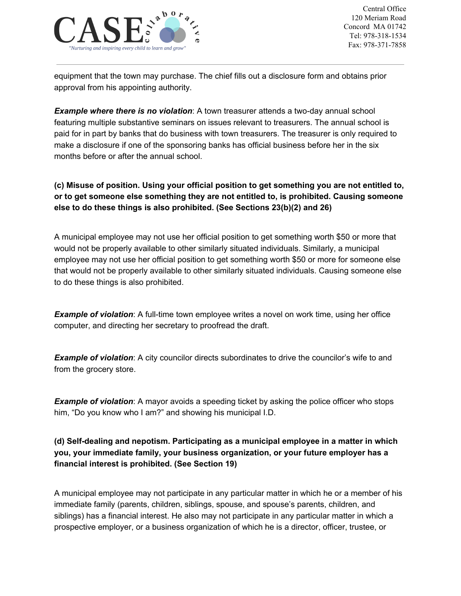

equipment that the town may purchase. The chief fills out a disclosure form and obtains prior approval from his appointing authority.

*Example where there is no violation*: A town treasurer attends a two-day annual school featuring multiple substantive seminars on issues relevant to treasurers. The annual school is paid for in part by banks that do business with town treasurers. The treasurer is only required to make a disclosure if one of the sponsoring banks has official business before her in the six months before or after the annual school.

## **(c) Misuse of position. Using your official position to get something you are not entitled to, or to get someone else something they are not entitled to, is prohibited. Causing someone else to do these things is also prohibited. (See Sections 23(b)(2) and 26)**

A municipal employee may not use her official position to get something worth \$50 or more that would not be properly available to other similarly situated individuals. Similarly, a municipal employee may not use her official position to get something worth \$50 or more for someone else that would not be properly available to other similarly situated individuals. Causing someone else to do these things is also prohibited.

**Example of violation**: A full-time town employee writes a novel on work time, using her office computer, and directing her secretary to proofread the draft.

*Example of violation*: A city councilor directs subordinates to drive the councilor's wife to and from the grocery store.

*Example of violation*: A mayor avoids a speeding ticket by asking the police officer who stops him, "Do you know who I am?" and showing his municipal I.D.

## **(d) Self-dealing and nepotism. Participating as a municipal employee in a matter in which you, your immediate family, your business organization, or your future employer has a financial interest is prohibited. (See Section 19)**

A municipal employee may not participate in any particular matter in which he or a member of his immediate family (parents, children, siblings, spouse, and spouse's parents, children, and siblings) has a financial interest. He also may not participate in any particular matter in which a prospective employer, or a business organization of which he is a director, officer, trustee, or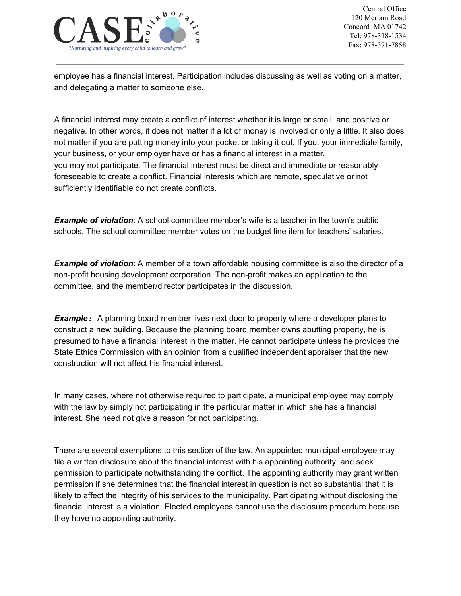

employee has a financial interest. Participation includes discussing as well as voting on a matter, and delegating a matter to someone else.

A financial interest may create a conflict of interest whether it is large or small, and positive or negative. In other words, it does not matter if a lot of money is involved or only a little. It also does not matter if you are putting money into your pocket or taking it out. If you, your immediate family, your business, or your employer have or has a financial interest in a matter, you may not participate. The financial interest must be direct and immediate or reasonably foreseeable to create a conflict. Financial interests which are remote, speculative or not sufficiently identifiable do not create conflicts.

**Example of violation**: A school committee member's wife is a teacher in the town's public schools. The school committee member votes on the budget line item for teachers' salaries.

*Example of violation*: A member of a town affordable housing committee is also the director of a non-profit housing development corporation. The non-profit makes an application to the committee, and the member/director participates in the discussion.

*Example:* A planning board member lives next door to property where a developer plans to construct a new building. Because the planning board member owns abutting property, he is presumed to have a financial interest in the matter. He cannot participate unless he provides the State Ethics Commission with an opinion from a qualified independent appraiser that the new construction will not affect his financial interest.

In many cases, where not otherwise required to participate, a municipal employee may comply with the law by simply not participating in the particular matter in which she has a financial interest. She need not give a reason for not participating.

There are several exemptions to this section of the law. An appointed municipal employee may file a written disclosure about the financial interest with his appointing authority, and seek permission to participate notwithstanding the conflict. The appointing authority may grant written permission if she determines that the financial interest in question is not so substantial that it is likely to affect the integrity of his services to the municipality. Participating without disclosing the financial interest is a violation. Elected employees cannot use the disclosure procedure because they have no appointing authority.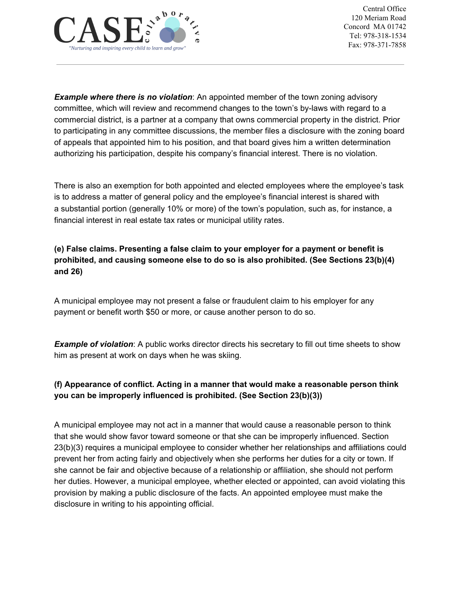

*Example where there is no violation*: An appointed member of the town zoning advisory committee, which will review and recommend changes to the town's by-laws with regard to a commercial district, is a partner at a company that owns commercial property in the district. Prior to participating in any committee discussions, the member files a disclosure with the zoning board of appeals that appointed him to his position, and that board gives him a written determination authorizing his participation, despite his company's financial interest. There is no violation.

There is also an exemption for both appointed and elected employees where the employee's task is to address a matter of general policy and the employee's financial interest is shared with a substantial portion (generally 10% or more) of the town's population, such as, for instance, a financial interest in real estate tax rates or municipal utility rates.

**(e) False claims. Presenting a false claim to your employer for a payment or benefit is prohibited, and causing someone else to do so is also prohibited. (See Sections 23(b)(4) and 26)**

A municipal employee may not present a false or fraudulent claim to his employer for any payment or benefit worth \$50 or more, or cause another person to do so.

*Example of violation*: A public works director directs his secretary to fill out time sheets to show him as present at work on days when he was skiing.

## **(f) Appearance of conflict. Acting in a manner that would make a reasonable person think you can be improperly influenced is prohibited. (See Section 23(b)(3))**

A municipal employee may not act in a manner that would cause a reasonable person to think that she would show favor toward someone or that she can be improperly influenced. Section 23(b)(3) requires a municipal employee to consider whether her relationships and affiliations could prevent her from acting fairly and objectively when she performs her duties for a city or town. If she cannot be fair and objective because of a relationship or affiliation, she should not perform her duties. However, a municipal employee, whether elected or appointed, can avoid violating this provision by making a public disclosure of the facts. An appointed employee must make the disclosure in writing to his appointing official.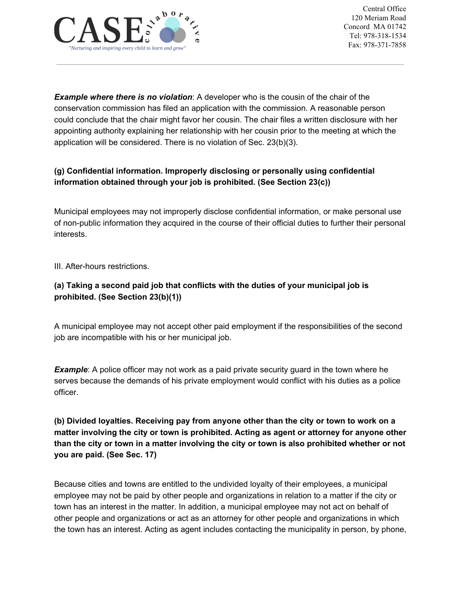

*Example where there is no violation*: A developer who is the cousin of the chair of the conservation commission has filed an application with the commission. A reasonable person could conclude that the chair might favor her cousin. The chair files a written disclosure with her appointing authority explaining her relationship with her cousin prior to the meeting at which the application will be considered. There is no violation of Sec. 23(b)(3).

## **(g) Confidential information. Improperly disclosing or personally using confidential information obtained through your job is prohibited. (See Section 23(c))**

Municipal employees may not improperly disclose confidential information, or make personal use of non-public information they acquired in the course of their official duties to further their personal interests.

III. After-hours restrictions.

## **(a) Taking a second paid job that conflicts with the duties of your municipal job is prohibited. (See Section 23(b)(1))**

A municipal employee may not accept other paid employment if the responsibilities of the second job are incompatible with his or her municipal job.

*Example*: A police officer may not work as a paid private security guard in the town where he serves because the demands of his private employment would conflict with his duties as a police officer.

**(b) Divided loyalties. Receiving pay from anyone other than the city or town to work on a matter involving the city or town is prohibited. Acting as agent or attorney for anyone other** than the city or town in a matter involving the city or town is also prohibited whether or not **you are paid. (See Sec. 17)**

Because cities and towns are entitled to the undivided loyalty of their employees, a municipal employee may not be paid by other people and organizations in relation to a matter if the city or town has an interest in the matter. In addition, a municipal employee may not act on behalf of other people and organizations or act as an attorney for other people and organizations in which the town has an interest. Acting as agent includes contacting the municipality in person, by phone,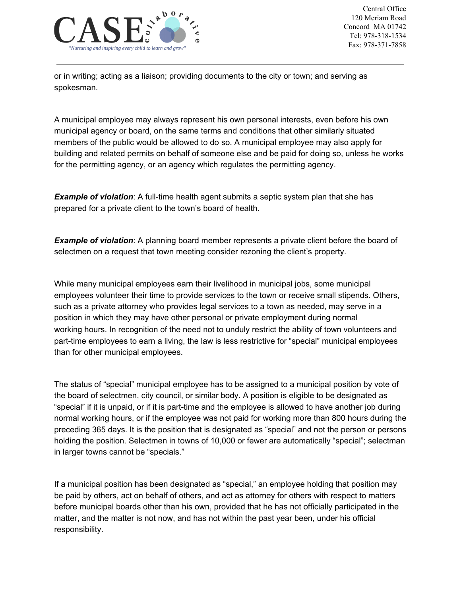

or in writing; acting as a liaison; providing documents to the city or town; and serving as spokesman.

A municipal employee may always represent his own personal interests, even before his own municipal agency or board, on the same terms and conditions that other similarly situated members of the public would be allowed to do so. A municipal employee may also apply for building and related permits on behalf of someone else and be paid for doing so, unless he works for the permitting agency, or an agency which regulates the permitting agency.

*Example* of *violation*: A full-time health agent submits a septic system plan that she has prepared for a private client to the town's board of health.

*Example of violation*: A planning board member represents a private client before the board of selectmen on a request that town meeting consider rezoning the client's property.

While many municipal employees earn their livelihood in municipal jobs, some municipal employees volunteer their time to provide services to the town or receive small stipends. Others, such as a private attorney who provides legal services to a town as needed, may serve in a position in which they may have other personal or private employment during normal working hours. In recognition of the need not to unduly restrict the ability of town volunteers and part-time employees to earn a living, the law is less restrictive for "special" municipal employees than for other municipal employees.

The status of "special" municipal employee has to be assigned to a municipal position by vote of the board of selectmen, city council, or similar body. A position is eligible to be designated as "special" if it is unpaid, or if it is part-time and the employee is allowed to have another job during normal working hours, or if the employee was not paid for working more than 800 hours during the preceding 365 days. It is the position that is designated as "special" and not the person or persons holding the position. Selectmen in towns of 10,000 or fewer are automatically "special"; selectman in larger towns cannot be "specials."

If a municipal position has been designated as "special," an employee holding that position may be paid by others, act on behalf of others, and act as attorney for others with respect to matters before municipal boards other than his own, provided that he has not officially participated in the matter, and the matter is not now, and has not within the past year been, under his official responsibility.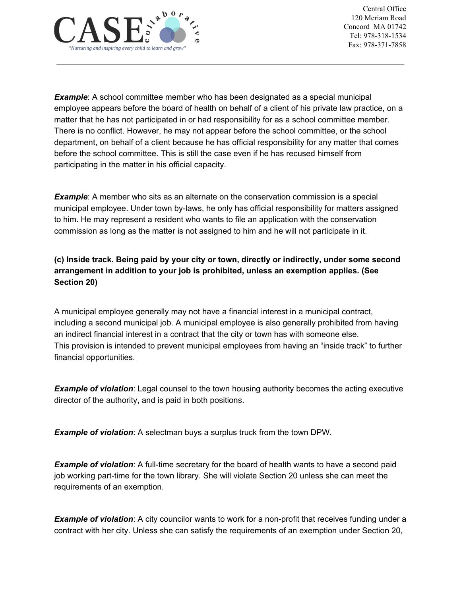

*Example*: A school committee member who has been designated as a special municipal employee appears before the board of health on behalf of a client of his private law practice, on a matter that he has not participated in or had responsibility for as a school committee member. There is no conflict. However, he may not appear before the school committee, or the school department, on behalf of a client because he has official responsibility for any matter that comes before the school committee. This is still the case even if he has recused himself from participating in the matter in his official capacity.

*Example*: A member who sits as an alternate on the conservation commission is a special municipal employee. Under town by-laws, he only has official responsibility for matters assigned to him. He may represent a resident who wants to file an application with the conservation commission as long as the matter is not assigned to him and he will not participate in it.

**(c) Inside track. Being paid by your city or town, directly or indirectly, under some second arrangement in addition to your job is prohibited, unless an exemption applies. (See Section 20)**

A municipal employee generally may not have a financial interest in a municipal contract, including a second municipal job. A municipal employee is also generally prohibited from having an indirect financial interest in a contract that the city or town has with someone else. This provision is intended to prevent municipal employees from having an "inside track" to further financial opportunities.

*Example of violation*: Legal counsel to the town housing authority becomes the acting executive director of the authority, and is paid in both positions.

*Example of violation*: A selectman buys a surplus truck from the town DPW.

*Example of violation*: A full-time secretary for the board of health wants to have a second paid job working part-time for the town library. She will violate Section 20 unless she can meet the requirements of an exemption.

*Example of violation*: A city councilor wants to work for a non-profit that receives funding under a contract with her city. Unless she can satisfy the requirements of an exemption under Section 20,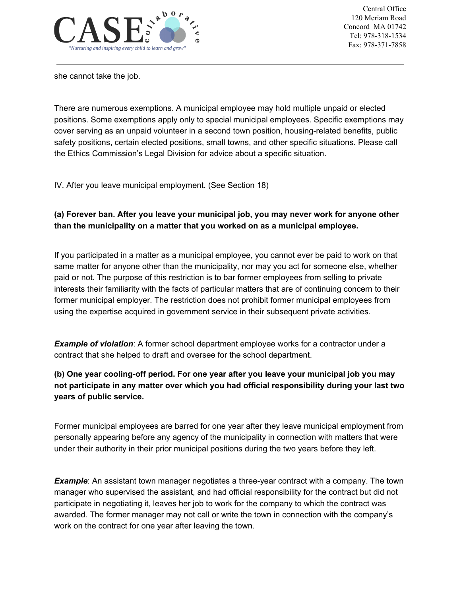

she cannot take the job.

There are numerous exemptions. A municipal employee may hold multiple unpaid or elected positions. Some exemptions apply only to special municipal employees. Specific exemptions may cover serving as an unpaid volunteer in a second town position, housing-related benefits, public safety positions, certain elected positions, small towns, and other specific situations. Please call the Ethics Commission's Legal Division for advice about a specific situation.

IV. After you leave municipal employment. (See Section 18)

## **(a) Forever ban. After you leave your municipal job, you may never work for anyone other than the municipality on a matter that you worked on as a municipal employee.**

If you participated in a matter as a municipal employee, you cannot ever be paid to work on that same matter for anyone other than the municipality, nor may you act for someone else, whether paid or not. The purpose of this restriction is to bar former employees from selling to private interests their familiarity with the facts of particular matters that are of continuing concern to their former municipal employer. The restriction does not prohibit former municipal employees from using the expertise acquired in government service in their subsequent private activities.

**Example of violation**: A former school department employee works for a contractor under a contract that she helped to draft and oversee for the school department.

## **(b) One year cooling-off period. For one year after you leave your municipal job you may not participate in any matter over which you had official responsibility during your last two years of public service.**

Former municipal employees are barred for one year after they leave municipal employment from personally appearing before any agency of the municipality in connection with matters that were under their authority in their prior municipal positions during the two years before they left.

*Example*: An assistant town manager negotiates a three-year contract with a company. The town manager who supervised the assistant, and had official responsibility for the contract but did not participate in negotiating it, leaves her job to work for the company to which the contract was awarded. The former manager may not call or write the town in connection with the company's work on the contract for one year after leaving the town.